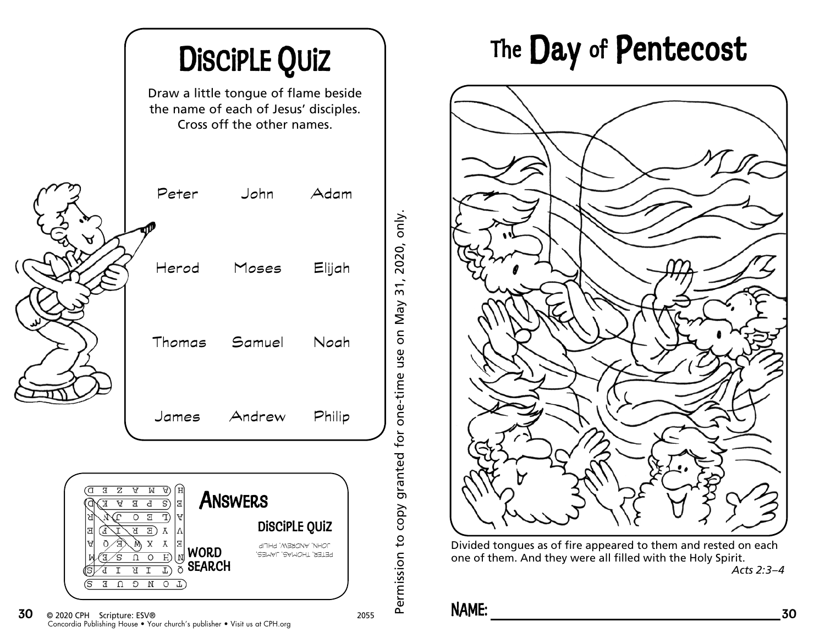

## DiscipLE Quiz 1 The Day of Pentecost



Divided tongues as of fire appeared to them and rested on each one of them. And they were all filled with the Holy Spirit. *Acts 2:3–4*

## **NAME:**